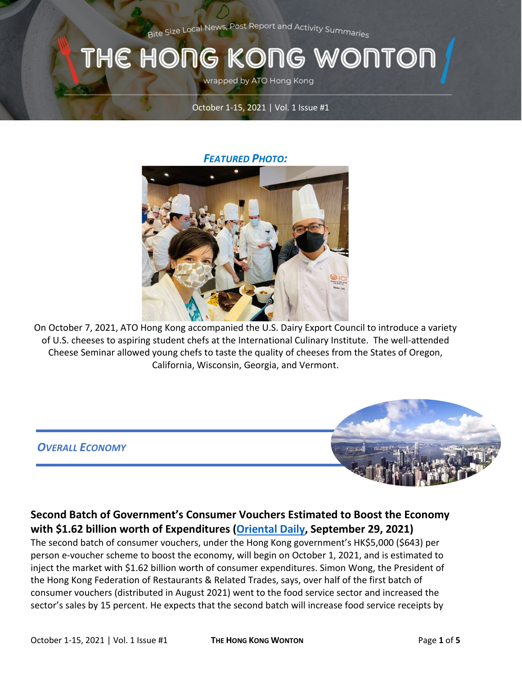Bite Size Local News, Post Report and Activity Summaries

## THE HONG KONG WONTOL

wrapped by ATO Hong Kong

October 1-15, 2021 | Vol. 1 Issue #1

#### *FEATURED PHOTO:*



On October 7, 2021, ATO Hong Kong accompanied the U.S. Dairy Export Council to introduce a variety of U.S. cheeses to aspiring student chefs at the International Culinary Institute. The well-attended Cheese Seminar allowed young chefs to taste the quality of cheeses from the States of Oregon, California, Wisconsin, Georgia, and Vermont.

# *OVERALL ECONOMY*

**Second Batch of Government's Consumer Vouchers Estimated to Boost the Economy with \$1.62 billion worth of Expenditures [\(Oriental Daily,](https://gcc02.safelinks.protection.outlook.com/?url=https%3A%2F%2Forientaldaily.on.cc%2Fcontent%2F%25E8%25A6%2581%25E8%2581%259E%25E6%25B8%25AF%25E8%2581%259E%2Fodn-20210929-0929_00174_001%2F%25E6%25B6%2588%25E8%25B2%25BB%25E5%2588%25B8%25E7%25AC%25AC%25E4%25BA%258C%25E6%2593%258A--%25E6%2594%25BE%25E6%25B0%25B4126%25E5%2584%2584&data=04%7C01%7CCleverJA%40state.gov%7C078019a50fad400ed25b08d98874c938%7C66cf50745afe48d1a691a12b2121f44b%7C0%7C0%7C637690857431350519%7CUnknown%7CTWFpbGZsb3d8eyJWIjoiMC4wLjAwMDAiLCJQIjoiV2luMzIiLCJBTiI6Ik1haWwiLCJXVCI6Mn0%3D%7C1000&sdata=DjgDI0J905dlYb630DfwBX%2FK6LcbbHwMZs3YDmzwCtc%3D&reserved=0) September 29, 2021)**

The second batch of consumer vouchers, under the Hong Kong government's HK\$5,000 (\$643) per person e-voucher scheme to boost the economy, will begin on October 1, 2021, and is estimated to inject the market with \$1.62 billion worth of consumer expenditures. Simon Wong, the President of the Hong Kong Federation of Restaurants & Related Trades, says, over half of the first batch of consumer vouchers (distributed in August 2021) went to the food service sector and increased the sector's sales by 15 percent. He expects that the second batch will increase food service receipts by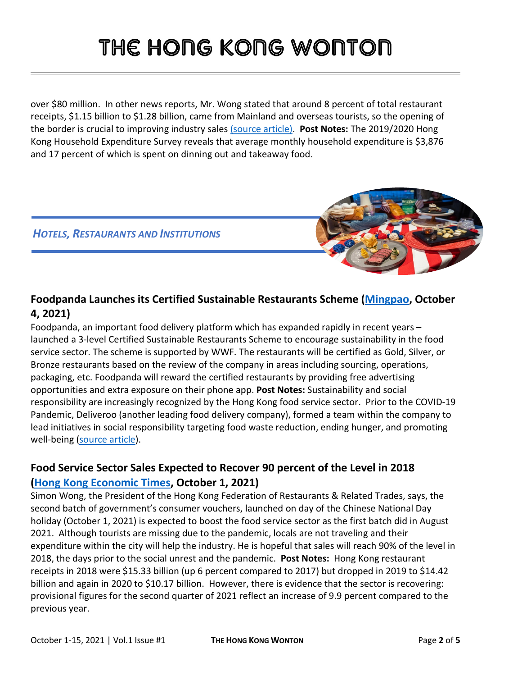## THE HONG KONG WONTON

over \$80 million. In other news reports, Mr. Wong stated that around 8 percent of total restaurant receipts, \$1.15 billion to \$1.28 billion, came from Mainland and overseas tourists, so the opening of the border is crucial to improving industry sales [\(source article\).](https://gcc02.safelinks.protection.outlook.com/?url=https%3A%2F%2Ftopick.hket.com%2Farticle%2F3070385%2F%25E3%2580%25905000%25E5%2585%2583%25E6%25B6%2588%25E8%25B2%25BB%25E5%2588%25B8%25E3%2580%2591%25E9%25A4%2590%25E9%25A3%25B2%25E6%25A5%25AD%25E7%2595%258C%25E6%2596%2599%25E8%25A8%2588%25E5%258A%2583%25E4%25B8%258B%25E5%258F%2597%25E6%2583%25A0200%25E5%2584%2584%25E5%2585%2583%25E7%2594%259F%25E6%2584%258F%25E9%25A1%258D%25E3%2580%2580%25E4%25BD%2594%25E6%2595%25B4%25E9%25AB%2594%25E9%2580%25BE5%25E6%2588%2590&data=04%7C01%7CCleverJA%40state.gov%7C078019a50fad400ed25b08d98874c938%7C66cf50745afe48d1a691a12b2121f44b%7C0%7C0%7C637690857431360477%7CUnknown%7CTWFpbGZsb3d8eyJWIjoiMC4wLjAwMDAiLCJQIjoiV2luMzIiLCJBTiI6Ik1haWwiLCJXVCI6Mn0%3D%7C1000&sdata=A7BODvj68cBqrZUGazwzt%2BYPwkQH2Tc7l7K%2FIM%2F16ts%3D&reserved=0) **Post Notes:** The 2019/2020 Hong Kong Household Expenditure Survey reveals that average monthly household expenditure is \$3,876 and 17 percent of which is spent on dinning out and takeaway food.

#### *HOTELS, RESTAURANTS AND INSTITUTIONS*



#### **Foodpanda Launches its Certified Sustainable Restaurants Scheme [\(Mingpao,](https://finance.mingpao.com/fin/instantf/20211004/1633333933865/foodpanda%E6%8E%A8%E3%80%8C%E7%92%B0%E4%BF%9D%E9%A3%B2%E9%A3%9F%E9%A4%90%E5%BB%B3%E8%AA%8D%E8%AD%89%E8%A8%88%E5%8A%83) October 4, 2021)**

Foodpanda, an important food delivery platform which has expanded rapidly in recent years – launched a 3-level Certified Sustainable Restaurants Scheme to encourage sustainability in the food service sector. The scheme is supported by WWF. The restaurants will be certified as Gold, Silver, or Bronze restaurants based on the review of the company in areas including sourcing, operations, packaging, etc. Foodpanda will reward the certified restaurants by providing free advertising opportunities and extra exposure on their phone app. **Post Notes:** Sustainability and social responsibility are increasingly recognized by the Hong Kong food service sector. Prior to the COVID-19 Pandemic, Deliveroo (another leading food delivery company), formed a team within the company to lead initiatives in social responsibility targeting food waste reduction, ending hunger, and promoting well-being [\(source article\)](https://www.retailnews.asia/deliveroo-sustainability-csr-team-developing-eco-friendly-and-socially-conscious-projects/).

#### **Food Service Sector Sales Expected to Recover 90 percent of the Level in 2018 [\(Hong Kong Economic Times,](https://gcc02.safelinks.protection.outlook.com/?url=https%3A%2F%2Finews.hket.com%2Farticle%2F3072445%2F%25E3%2580%2590%25E5%258D%2581%25E4%25B8%2580%25E5%259C%258B%25E6%2585%25B6%25E6%25B6%2588%25E8%25B2%25BB%25E3%2580%2591%25E5%258D%2581%25E4%25B8%2580%25E5%2581%2587%25E6%259C%259F%25E5%258F%258A%25E9%259B%25BB%25E5%25AD%2590%25E6%25B6%2588%25E8%25B2%25BB%25E5%2588%25B8%25E5%25B8%25B6%25E6%2597%25BA%25E3%2580%2580%25E9%25BB%2583%25E5%25AE%25B6%25E5%2592%258C%25EF%25BC%259A%25E9%25A4%2590%25E9%25A3%25B2%25E6%25A5%25AD%25E7%2594%259F%25E6%2584%258F%25E6%259C%2589%25E6%259C%259B%25E9%2581%2594%25E8%2587%25B32018%25E5%25B9%25B49%25E6%2588%2590%25E4%25BB%25A5%25E4%25B8%258A%3Fmtc%3D40001%26srkw%3D&data=04%7C01%7CCleverJA%40state.gov%7C078019a50fad400ed25b08d98874c938%7C66cf50745afe48d1a691a12b2121f44b%7C0%7C0%7C637690857431340564%7CUnknown%7CTWFpbGZsb3d8eyJWIjoiMC4wLjAwMDAiLCJQIjoiV2luMzIiLCJBTiI6Ik1haWwiLCJXVCI6Mn0%3D%7C1000&sdata=iXpKLyA4wBK0j%2BFAExfjiDfyWIM%2FMGuI8Eiyg3ZXTPo%3D&reserved=0) October 1, 2021)**

Simon Wong, the President of the Hong Kong Federation of Restaurants & Related Trades, says, the second batch of government's consumer vouchers, launched on day of the Chinese National Day holiday (October 1, 2021) is expected to boost the food service sector as the first batch did in August 2021. Although tourists are missing due to the pandemic, locals are not traveling and their expenditure within the city will help the industry. He is hopeful that sales will reach 90% of the level in 2018, the days prior to the social unrest and the pandemic. **Post Notes:** Hong Kong restaurant receipts in 2018 were \$15.33 billion (up 6 percent compared to 2017) but dropped in 2019 to \$14.42 billion and again in 2020 to \$10.17 billion. However, there is evidence that the sector is recovering: provisional figures for the second quarter of 2021 reflect an increase of 9.9 percent compared to the previous year.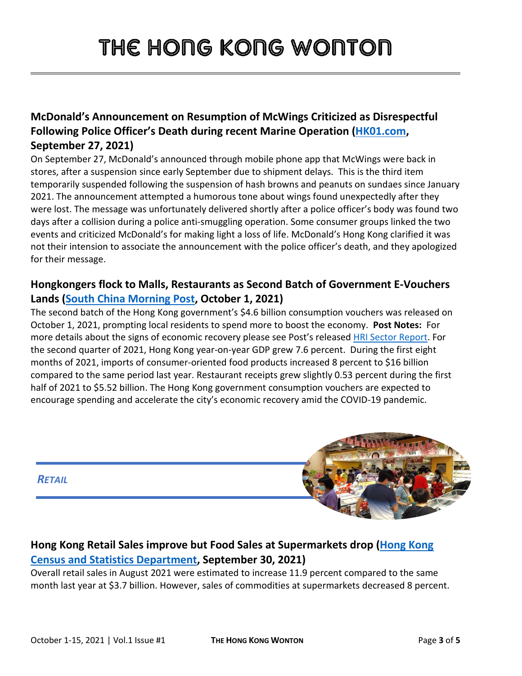#### **McDonald's Announcement on Resumption of McWings Criticized as Disrespectful Following Police Officer's Death during recent Marine Operation [\(HK01.com,](https://gcc02.safelinks.protection.outlook.com/?url=https%3A%2F%2Fwww.hk01.com%2F%25E7%2586%25B1%25E7%2588%2586%25E8%25A9%25B1%25E9%25A1%258C%2F681888%2F%25E9%25BA%25A5%25E7%2595%25B6%25E5%258B%259E%25E4%25BB%25A5-%25E8%25B7%258C%25E5%2592%2597%25E5%2598%25A2-%25E5%25AE%25A3%25E5%2582%25B3%25E9%259B%259E%25E7%25BF%25BC%25E5%259B%259E%25E6%25AD%25B8%25E8%25A2%25AB%25E7%2596%2591%25E8%25AB%25B7%25E5%25A5%25B3%25E8%25AD%25A6%25E5%25A2%25AE%25E6%25B5%25B7-%25E5%2585%25AC%25E5%258F%25B8%25E6%25BE%2584%25E6%25B8%2585%25E7%2584%25A1%25E5%2590%25AB%25E6%2584%258F&data=04%7C01%7CCleverJA%40state.gov%7C078019a50fad400ed25b08d98874c938%7C66cf50745afe48d1a691a12b2121f44b%7C0%7C0%7C637690857431360477%7CUnknown%7CTWFpbGZsb3d8eyJWIjoiMC4wLjAwMDAiLCJQIjoiV2luMzIiLCJBTiI6Ik1haWwiLCJXVCI6Mn0%3D%7C1000&sdata=%2BWjBumvuCAVuGvNE%2BYnFptWVjh0mlUWZ8kYP1u35heg%3D&reserved=0) September 27, 2021)**

On September 27, McDonald's announced through mobile phone app that McWings were back in stores, after a suspension since early September due to shipment delays. This is the third item temporarily suspended following the suspension of hash browns and peanuts on sundaes since January 2021. The announcement attempted a humorous tone about wings found unexpectedly after they were lost. The message was unfortunately delivered shortly after a police officer's body was found two days after a collision during a police anti-smuggling operation. Some consumer groups linked the two events and criticized McDonald's for making light a loss of life. McDonald's Hong Kong clarified it was not their intension to associate the announcement with the police officer's death, and they apologized for their message.

#### **Hongkongers flock to Malls, Restaurants as Second Batch of Government E-Vouchers Lands [\(South China Morning Post,](https://www.scmp.com/news/hong-kong/hong-kong-economy/article/3150903/hongkongers-flock-malls-restaurants-second-batch) October 1, 2021)**

The second batch of the Hong Kong government's \$4.6 billion consumption vouchers was released on October 1, 2021, prompting local residents to spend more to boost the economy. **Post Notes:** For more details about the signs of economic recovery please see Post's released [HRI Sector Report.](https://gcc02.safelinks.protection.outlook.com/?url=https%3A%2F%2Fwww.usfoods-hongkong.net%2Fwps%2Fwp-content%2Fuploads%2FFood-Service-Hotel-Restaurant-Institutional_Hong-Kong_Hong-Kong_09-30-2021.pdf&data=04%7C01%7CCleverJA%40state.gov%7Cc08a4930cb0642636f9d08d9889b7f62%7C66cf50745afe48d1a691a12b2121f44b%7C0%7C0%7C637691023699693584%7CUnknown%7CTWFpbGZsb3d8eyJWIjoiMC4wLjAwMDAiLCJQIjoiV2luMzIiLCJBTiI6Ik1haWwiLCJXVCI6Mn0%3D%7C1000&sdata=ajIEZlZz1mmmcgQtXNMf%2BtNPCjPtMm%2Br4gSzEpswMNk%3D&reserved=0) For the second quarter of 2021, Hong Kong year-on-year GDP grew 7.6 percent. During the first eight months of 2021, imports of consumer-oriented food products increased 8 percent to \$16 billion compared to the same period last year. Restaurant receipts grew slightly 0.53 percent during the first half of 2021 to \$5.52 billion. The Hong Kong government consumption vouchers are expected to encourage spending and accelerate the city's economic recovery amid the COVID-19 pandemic.

*RETAIL*



#### **Hong Kong Retail Sales improve but Food Sales at Supermarkets drop [\(Hong Kong](https://gcc02.safelinks.protection.outlook.com/?url=https%3A%2F%2Fwww.censtatd.gov.hk%2Fen%2Fpress_release_detail.html%3Fid%3D4909&data=04%7C01%7CCleverJA%40state.gov%7Cc08a4930cb0642636f9d08d9889b7f62%7C66cf50745afe48d1a691a12b2121f44b%7C0%7C0%7C637691023699683627%7CUnknown%7CTWFpbGZsb3d8eyJWIjoiMC4wLjAwMDAiLCJQIjoiV2luMzIiLCJBTiI6Ik1haWwiLCJXVCI6Mn0%3D%7C1000&sdata=hJ35yjqhvKAAZ5dEJxeJI%2BPtHAjOabOqXqfiPdL%2BOts%3D&reserved=0)  [Census and Statistics Department,](https://gcc02.safelinks.protection.outlook.com/?url=https%3A%2F%2Fwww.censtatd.gov.hk%2Fen%2Fpress_release_detail.html%3Fid%3D4909&data=04%7C01%7CCleverJA%40state.gov%7Cc08a4930cb0642636f9d08d9889b7f62%7C66cf50745afe48d1a691a12b2121f44b%7C0%7C0%7C637691023699683627%7CUnknown%7CTWFpbGZsb3d8eyJWIjoiMC4wLjAwMDAiLCJQIjoiV2luMzIiLCJBTiI6Ik1haWwiLCJXVCI6Mn0%3D%7C1000&sdata=hJ35yjqhvKAAZ5dEJxeJI%2BPtHAjOabOqXqfiPdL%2BOts%3D&reserved=0) September 30, 2021)**

Overall retail sales in August 2021 were estimated to increase 11.9 percent compared to the same month last year at \$3.7 billion. However, sales of commodities at supermarkets decreased 8 percent.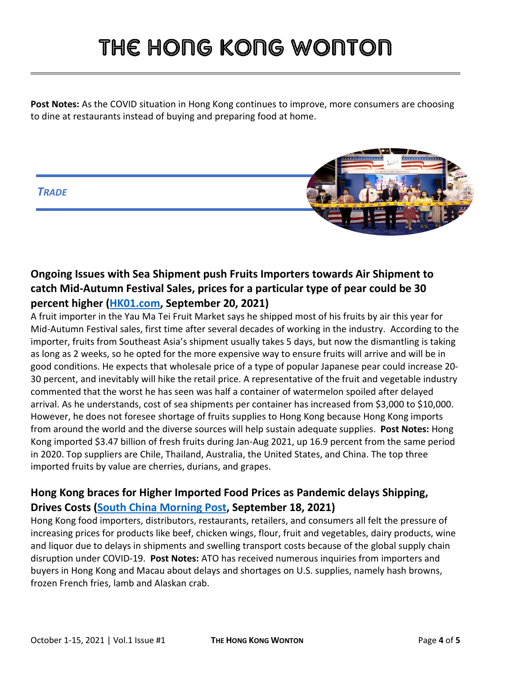## THE HONG KONG WONTON

**Post Notes:** As the COVID situation in Hong Kong continues to improve, more consumers are choosing to dine at restaurants instead of buying and preparing food at home.

#### *TRADE*



#### **Ongoing Issues with Sea Shipment push Fruits Importers towards Air Shipment to catch Mid-Autumn Festival Sales, prices for a particular type of pear could be 30 percent higher [\(HK01.com,](https://gcc02.safelinks.protection.outlook.com/?url=https%3A%2F%2Fwww.hk01.com%2F%25E7%25A4%25BE%25E6%259C%2583%25E6%2596%25B0%25E8%2581%259E%2F678559%2F%25E4%25B8%25AD%25E7%25A7%258B%25E7%25AF%2580-%25E6%2586%2582%25E8%2588%25B9%25E6%259C%259F%25E5%25BB%25B6%25E8%25AA%25A4%25E6%2587%2589%25E7%25AF%2580%25E6%25B0%25B4%25E6%259E%259C%25E8%25A6%2581%25E7%25A9%25BA%25E9%2581%258B-%25E6%25AC%2584%25E5%2595%2586%25E6%258C%2587%25E6%259C%2589%25E6%25AC%25BE%25E7%2594%259F%25E6%259E%259C%25E5%258A%25A0%25E5%25B9%2585%25E9%25AB%2598%25E9%2581%2594%25E4%25B8%2589%25E6%2588%2590&data=04%7C01%7CCleverJA%40state.gov%7C078019a50fad400ed25b08d98874c938%7C66cf50745afe48d1a691a12b2121f44b%7C0%7C0%7C637690857431370427%7CUnknown%7CTWFpbGZsb3d8eyJWIjoiMC4wLjAwMDAiLCJQIjoiV2luMzIiLCJBTiI6Ik1haWwiLCJXVCI6Mn0%3D%7C1000&sdata=iGdyLBOJsIMyLoZB3RG%2Bu1kXShbDexmlz9nc6gJGbmc%3D&reserved=0) September 20, 2021)**

A fruit importer in the Yau Ma Tei Fruit Market says he shipped most of his fruits by air this year for Mid-Autumn Festival sales, first time after several decades of working in the industry. According to the importer, fruits from Southeast Asia's shipment usually takes 5 days, but now the dismantling is taking as long as 2 weeks, so he opted for the more expensive way to ensure fruits will arrive and will be in good conditions. He expects that wholesale price of a type of popular Japanese pear could increase 20- 30 percent, and inevitably will hike the retail price. A representative of the fruit and vegetable industry commented that the worst he has seen was half a container of watermelon spoiled after delayed arrival. As he understands, cost of sea shipments per container has increased from \$3,000 to \$10,000. However, he does not foresee shortage of fruits supplies to Hong Kong because Hong Kong imports from around the world and the diverse sources will help sustain adequate supplies. **Post Notes:** Hong Kong imported \$3.47 billion of fresh fruits during Jan-Aug 2021, up 16.9 percent from the same period in 2020. Top suppliers are Chile, Thailand, Australia, the United States, and China. The top three imported fruits by value are cherries, durians, and grapes.

#### **Hong Kong braces for Higher Imported Food Prices as Pandemic delays Shipping, Drives Costs [\(South China Morning Post,](https://www.scmp.com/news/hong-kong/hong-kong-economy/article/3149219/hong-kong-braces-itself-higher-imported-food) September 18, 2021)**

Hong Kong food importers, distributors, restaurants, retailers, and consumers all felt the pressure of increasing prices for products like beef, chicken wings, flour, fruit and vegetables, dairy products, wine and liquor due to delays in shipments and swelling transport costs because of the global supply chain disruption under COVID-19. **Post Notes:** ATO has received numerous inquiries from importers and buyers in Hong Kong and Macau about delays and shortages on U.S. supplies, namely hash browns, frozen French fries, lamb and Alaskan crab.